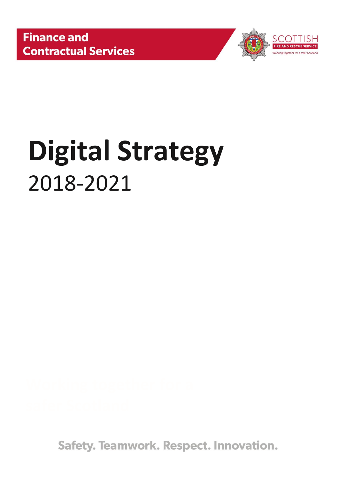

# **Digital Strategy** 2018-2021

Safety. Teamwork. Respect. Innovation.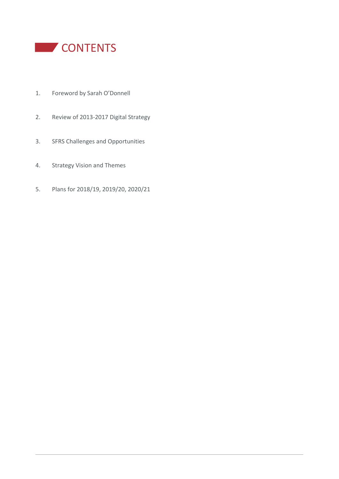

- 1. Foreword by Sarah O'Donnell
- 2. Review of 2013-2017 Digital Strategy
- 3. SFRS Challenges and Opportunities
- 4. Strategy Vision and Themes
- 5. Plans for 2018/19, 2019/20, 2020/21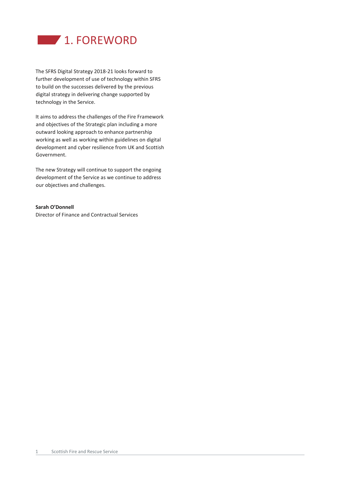

The SFRS Digital Strategy 2018-21 looks forward to further development of use of technology within SFRS to build on the successes delivered by the previous digital strategy in delivering change supported by technology in the Service.

It aims to address the challenges of the Fire Framework and objectives of the Strategic plan including a more outward looking approach to enhance partnership working as well as working within guidelines on digital development and cyber resilience from UK and Scottish Government.

The new Strategy will continue to support the ongoing development of the Service as we continue to address our objectives and challenges.

# **Sarah O'Donnell**

Director of Finance and Contractual Services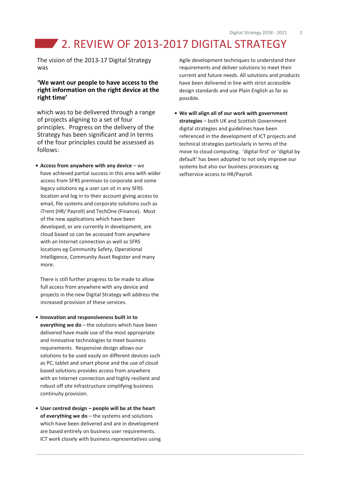# **2. REVIEW OF 2013-2017 DIGITAL STRATEGY**

The vision of the 2013-17 Digital Strategy was

# **'We want our people to have access to the right information on the right device at the right time'**

which was to be delivered through a range of projects aligning to a set of four principles. Progress on the delivery of the Strategy has been significant and in terms of the four principles could be assessed as follows:

**• Access from anywhere with any device** – we have achieved partial success in this area with wider access from SFRS premises to corporate and some legacy solutions eg a user can sit in any SFRS location and log in to their account giving access to email, file systems and corporate solutions such as iTrent (HR/ Payroll) and TechOne (Finance). Most of the new applications which have been developed, or are currently in development, are cloud based so can be accessed from anywhere with an Internet connection as well as SFRS locations eg Community Safety, Operational Intelligence, Community Asset Register and many more.

There is still further progress to be made to allow full access from anywhere with any device and projects in the new Digital Strategy will address the increased provision of these services.

- **• Innovation and responsiveness built in to everything we do** – the solutions which have been delivered have made use of the most appropriate and innovative technologies to meet business requirements. Responsive design allows our solutions to be used easily on different devices such as PC, tablet and smart phone and the use of cloud based solutions provides access from anywhere with an Internet connection and highly resilient and robust off site infrastructure simplifying business continuity provision.
- **• User centred design – people will be at the heart of everything we do** – the systems and solutions which have been delivered and are in development are based entirely on business user requirements. ICT work closely with business representatives using

Agile development techniques to understand their requirements and deliver solutions to meet their current and future needs. All solutions and products have been delivered in line with strict accessible design standards and use Plain English as far as possible.

**• We will align all of our work with government strategies** – both UK and Scottish Government digital strategies and guidelines have been referenced in the development of ICT projects and technical strategies particularly in terms of the move to cloud computing. 'digital first' or 'digital by default' has been adopted to not only improve our systems but also our business processes eg selfservice access to HR/Payroll.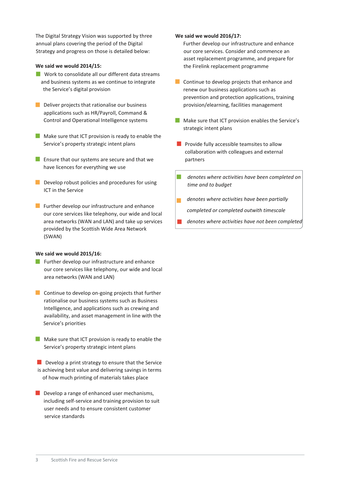The Digital Strategy Vision was supported by three annual plans covering the period of the Digital Strategy and progress on those is detailed below:

# **We said we would 2014/15:**

- **Nork to consolidate all our different data streams** and business systems as we continue to integrate the Service's digital provision
- Deliver projects that rationalise our business applications such as HR/Payroll, Command & Control and Operational Intelligence systems
- Make sure that ICT provision is ready to enable the Service's property strategic intent plans
- **Ensure that our systems are secure and that we** have licences for everything we use
- Develop robust policies and procedures for using ICT in the Service
- **Further develop our infrastructure and enhance** our core services like telephony, our wide and local area networks (WAN and LAN) and take up services provided by the Scottish Wide Area Network (SWAN)

### **We said we would 2015/16:**

- **Further develop our infrastructure and enhance** our core services like telephony, our wide and local area networks (WAN and LAN)
- **Continue to develop on-going projects that further** rationalise our business systems such as Business Intelligence, and applications such as crewing and availability, and asset management in line with the Service's priorities
- $\blacksquare$  Make sure that ICT provision is ready to enable the Service's property strategic intent plans
- Develop a print strategy to ensure that the Service is achieving best value and delivering savings in terms of how much printing of materials takes place
- $\blacksquare$  Develop a range of enhanced user mechanisms, including self-service and training provision to suit user needs and to ensure consistent customer service standards

## **We said we would 2016/17:**

Further develop our infrastructure and enhance our core services. Consider and commence an asset replacement programme, and prepare for the Firelink replacement programme

- **Continue to develop projects that enhance and** renew our business applications such as prevention and protection applications, training provision/elearning, facilities management
- Make sure that ICT provision enables the Service's strategic intent plans
- **Provide fully accessible teamsites to allow** collaboration with colleagues and external partners
- *denotes where activities have been completed on time and to budget*
- *denotes where activities have been partially*  ÷, *completed or completed outwith timescale*
- *denotes where activities have not been completed*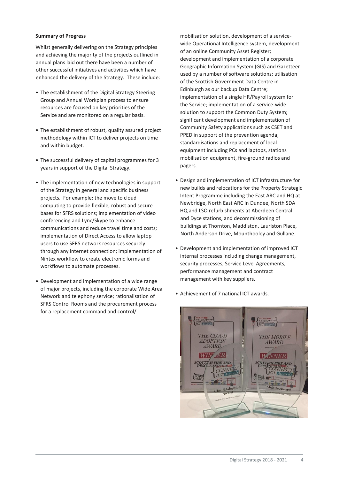## **Summary of Progress**

Whilst generally delivering on the Strategy principles and achieving the majority of the projects outlined in annual plans laid out there have been a number of other successful initiatives and activities which have enhanced the delivery of the Strategy. These include:

- The establishment of the Digital Strategy Steering Group and Annual Workplan process to ensure resources are focused on key priorities of the Service and are monitored on a regular basis.
- The establishment of robust, quality assured project methodology within ICT to deliver projects on time and within budget.
- The successful delivery of capital programmes for 3 years in support of the Digital Strategy.
- The implementation of new technologies in support of the Strategy in general and specific business projects. For example: the move to cloud computing to provide flexible, robust and secure bases for SFRS solutions; implementation of video conferencing and Lync/Skype to enhance communications and reduce travel time and costs; implementation of Direct Access to allow laptop users to use SFRS network resources securely through any internet connection; implementation of Nintex workflow to create electronic forms and workflows to automate processes.
- Development and implementation of a wide range of major projects, including the corporate Wide Area Network and telephony service; rationalisation of SFRS Control Rooms and the procurement process for a replacement command and control/

mobilisation solution, development of a servicewide OperationaI Intelligence system, development of an online Community Asset Register; development and implementation of a corporate Geographic Information System (GIS) and Gazetteer used by a number of software solutions; utilisation of the Scottish Government Data Centre in Edinburgh as our backup Data Centre; implementation of a single HR/Payroll system for the Service; implementation of a service-wide solution to support the Common Duty System; significant development and implementation of Community Safety applications such as CSET and PPED in support of the prevention agenda; standardisations and replacement of local equipment including PCs and laptops, stations mobilisation equipment, fire-ground radios and pagers.

- Design and implementation of ICT infrastructure for new builds and relocations for the Property Strategic Intent Programme including the East ARC and HQ at Newbridge, North East ARC in Dundee, North SDA HQ and LSO refurbishments at Aberdeen Central and Dyce stations, and decommissioning of buildings at Thornton, Maddiston, Lauriston Place, North Anderson Drive, Mounthooley and Gullane.
- Development and implementation of improved ICT internal processes including change management, security processes, Service Level Agreements, performance management and contract management with key suppliers.



• Achievement of 7 national ICT awards.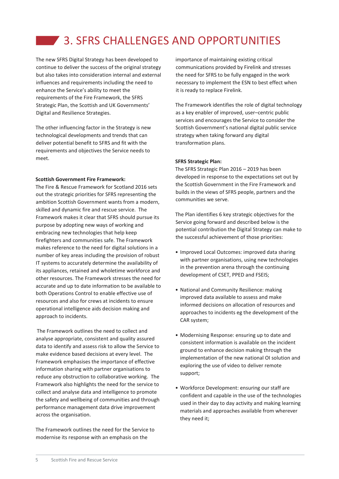# **3. SFRS CHALLENGES AND OPPORTUNITIES**

The new SFRS Digital Strategy has been developed to continue to deliver the success of the original strategy but also takes into consideration internal and external influences and requirements including the need to enhance the Service's ability to meet the requirements of the Fire Framework, the SFRS Strategic Plan, the Scottish and UK Governments' Digital and Resilience Strategies.

The other influencing factor in the Strategy is new technological developments and trends that can deliver potential benefit to SFRS and fit with the requirements and objectives the Service needs to meet.

# **Scottish Government Fire Framework:**

The Fire & Rescue Framework for Scotland 2016 sets out the strategic priorities for SFRS representing the ambition Scottish Government wants from a modern, skilled and dynamic fire and rescue service. The Framework makes it clear that SFRS should pursue its purpose by adopting new ways of working and embracing new technologies that help keep firefighters and communities safe. The Framework makes reference to the need for digital solutions in a number of key areas including the provision of robust IT systems to accurately determine the availability of its appliances, retained and wholetime workforce and other resources. The Framework stresses the need for accurate and up to date information to be available to both Operations Control to enable effective use of resources and also for crews at incidents to ensure operational intelligence aids decision making and approach to incidents.

The Framework outlines the need to collect and analyse appropriate, consistent and quality assured data to identify and assess risk to allow the Service to make evidence based decisions at every level. The Framework emphasises the importance of effective information sharing with partner organisations to reduce any obstruction to collaborative working. The Framework also highlights the need for the service to collect and analyse data and intelligence to promote the safety and wellbeing of communities and through performance management data drive improvement across the organisation.

The Framework outlines the need for the Service to modernise its response with an emphasis on the

importance of maintaining existing critical communications provided by Firelink and stresses the need for SFRS to be fully engaged in the work necessary to implement the ESN to best effect when it is ready to replace Firelink.

The Framework identifies the role of digital technology as a key enabler of improved, user–centric public services and encourages the Service to consider the Scottish Government's national digital public service strategy when taking forward any digital transformation plans.

## **SFRS Strategic Plan:**

The SFRS Strategic Plan 2016 – 2019 has been developed in response to the expectations set out by the Scottish Government in the Fire Framework and builds in the views of SFRS people, partners and the communities we serve.

The Plan identifies 6 key strategic objectives for the Service going forward and described below is the potential contribution the Digital Strategy can make to the successful achievement of those priorities:

- Improved Local Outcomes: improved data sharing with partner organisations, using new technologies in the prevention arena through the continuing development of CSET, PPED and FSEIS;
- National and Community Resilience: making improved data available to assess and make informed decisions on allocation of resources and approaches to incidents eg the development of the CAR system;
- Modernising Response: ensuring up to date and consistent information is available on the incident ground to enhance decision making through the implementation of the new national OI solution and exploring the use of video to deliver remote support;
- Workforce Development: ensuring our staff are confident and capable in the use of the technologies used in their day to day activity and making learning materials and approaches available from wherever they need it;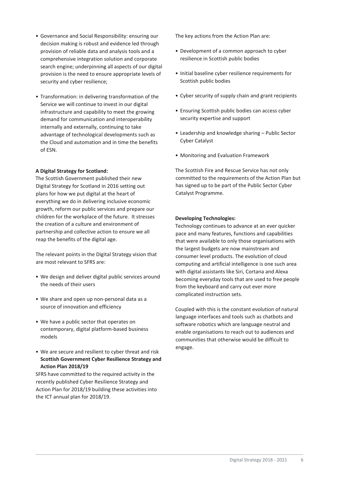- Governance and Social Responsibility: ensuring our decision making is robust and evidence led through provision of reliable data and analysis tools and a comprehensive integration solution and corporate search engine; underpinning all aspects of our digital provision is the need to ensure appropriate levels of security and cyber resilience;
- Transformation: in delivering transformation of the Service we will continue to invest in our digital infrastructure and capability to meet the growing demand for communication and interoperability internally and externally, continuing to take advantage of technological developments such as the Cloud and automation and in time the benefits of ESN.

# **A Digital Strategy for Scotland:**

The Scottish Government published their new Digital Strategy for Scotland in 2016 setting out plans for how we put digital at the heart of everything we do in delivering inclusive economic growth, reform our public services and prepare our children for the workplace of the future. It stresses the creation of a culture and environment of partnership and collective action to ensure we all reap the benefits of the digital age.

The relevant points in the Digital Strategy vision that are most relevant to SFRS are:

- We design and deliver digital public services around the needs of their users
- We share and open up non-personal data as a source of innovation and efficiency
- We have a public sector that operates on contemporary, digital platform-based business models
- We are secure and resilient to cyber threat and risk **Scottish Government Cyber Resilience Strategy and Action Plan 2018/19**

SFRS have committed to the required activity in the recently published Cyber Resilience Strategy and Action Plan for 2018/19 building these activities into the ICT annual plan for 2018/19.

The key actions from the Action Plan are:

- Development of a common approach to cyber resilience in Scottish public bodies
- Initial baseline cyber resilience requirements for Scottish public bodies
- Cyber security of supply chain and grant recipients
- Ensuring Scottish public bodies can access cyber security expertise and support
- Leadership and knowledge sharing Public Sector Cyber Catalyst
- Monitoring and Evaluation Framework

The Scottish Fire and Rescue Service has not only committed to the requirements of the Action Plan but has signed up to be part of the Public Sector Cyber Catalyst Programme.

# **Developing Technologies:**

Technology continues to advance at an ever quicker pace and many features, functions and capabilities that were available to only those organisations with the largest budgets are now mainstream and consumer level products. The evolution of cloud computing and artificial intelligence is one such area with digital assistants like Siri, Cortana and Alexa becoming everyday tools that are used to free people from the keyboard and carry out ever more complicated instruction sets.

Coupled with this is the constant evolution of natural language interfaces and tools such as chatbots and software robotics which are language neutral and enable organisations to reach out to audiences and communities that otherwise would be difficult to engage.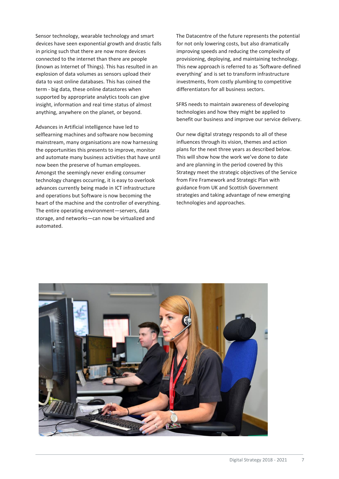Sensor technology, wearable technology and smart devices have seen exponential growth and drastic falls in pricing such that there are now more devices connected to the internet than there are people (known as Internet of Things). This has resulted in an explosion of data volumes as sensors upload their data to vast online databases. This has coined the term - big data, these online datastores when supported by appropriate analytics tools can give insight, information and real time status of almost anything, anywhere on the planet, or beyond.

Advances in Artificial intelligence have led to selflearning machines and software now becoming mainstream, many organisations are now harnessing the opportunities this presents to improve, monitor and automate many business activities that have until now been the preserve of human employees. Amongst the seemingly never ending consumer technology changes occurring, it is easy to overlook advances currently being made in ICT infrastructure and operations but Software is now becoming the heart of the machine and the controller of everything. The entire operating environment—servers, data storage, and networks—can now be virtualized and automated.

The Datacentre of the future represents the potential for not only lowering costs, but also dramatically improving speeds and reducing the complexity of provisioning, deploying, and maintaining technology. This new approach is referred to as 'Software-defined everything' and is set to transform infrastructure investments, from costly plumbing to competitive differentiators for all business sectors.

SFRS needs to maintain awareness of developing technologies and how they might be applied to benefit our business and improve our service delivery.

Our new digital strategy responds to all of these influences through its vision, themes and action plans for the next three years as described below. This will show how the work we've done to date and are planning in the period covered by this Strategy meet the strategic objectives of the Service from Fire Framework and Strategic Plan with guidance from UK and Scottish Government strategies and taking advantage of new emerging technologies and approaches.

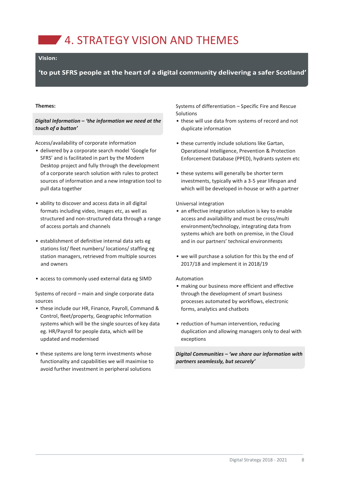**4. STRATEGY VISION AND THEMES** 

# Vision:

'to put SFRS people at the heart of a digital community delivering a safer Scotland'

#### **Themes:**

*Digital Information – 'the information we need at the touch of a button'*

Access/availability of corporate information

- delivered by a corporate search model 'Google for SFRS' and is facilitated in part by the Modern Desktop project and fully through the development of a corporate search solution with rules to protect sources of information and a new integration tool to pull data together
- ability to discover and access data in all digital formats including video, images etc, as well as structured and non-structured data through a range of access portals and channels
- establishment of definitive internal data sets eg stations list/ fleet numbers/ locations/ staffing eg station managers, retrieved from multiple sources and owners
- access to commonly used external data eg SIMD

Systems of record – main and single corporate data sources

- these include our HR, Finance, Payroll, Command & Control, fleet/property, Geographic Information systems which will be the single sources of key data eg. HR/Payroll for people data, which will be updated and modernised
- these systems are long term investments whose functionality and capabilities we will maximise to avoid further investment in peripheral solutions

Systems of differentiation – Specific Fire and Rescue Solutions

- these will use data from systems of record and not duplicate information
- these currently include solutions like Gartan, Operational Intelligence, Prevention & Protection Enforcement Database (PPED), hydrants system etc
- these systems will generally be shorter term investments, typically with a 3-5 year lifespan and which will be developed in-house or with a partner

Universal integration

- an effective integration solution is key to enable access and availability and must be cross/multi environment/technology, integrating data from systems which are both on premise, in the Cloud and in our partners' technical environments
- we will purchase a solution for this by the end of 2017/18 and implement it in 2018/19

#### Automation

- making our business more efficient and effective through the development of smart business processes automated by workflows, electronic forms, analytics and chatbots
- reduction of human intervention, reducing duplication and allowing managers only to deal with exceptions

*Digital Communities – 'we share our information with partners seamlessly, but securely'*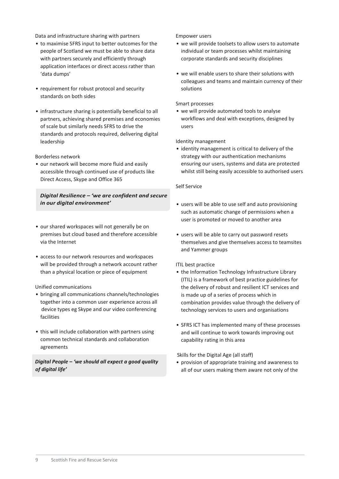Data and infrastructure sharing with partners

- to maximise SFRS input to better outcomes for the people of Scotland we must be able to share data with partners securely and efficiently through application interfaces or direct access rather than 'data dumps'
- requirement for robust protocol and security standards on both sides
- infrastructure sharing is potentially beneficial to all partners, achieving shared premises and economies of scale but similarly needs SFRS to drive the standards and protocols required, delivering digital leadership

Borderless network

• our network will become more fluid and easily accessible through continued use of products like Direct Access, Skype and Office 365

# *Digital Resilience – 'we are confident and secure in our digital environment'*

- our shared workspaces will not generally be on premises but cloud based and therefore accessible via the Internet
- access to our network resources and workspaces will be provided through a network account rather than a physical location or piece of equipment

# Unified communications

- bringing all communications channels/technologies together into a common user experience across all device types eg Skype and our video conferencing facilities
- this will include collaboration with partners using common technical standards and collaboration agreements

# *Digital People – 'we should all expect a good quality of digital life'*

Empower users

- we will provide toolsets to allow users to automate individual or team processes whilst maintaining corporate standards and security disciplines
- we will enable users to share their solutions with colleagues and teams and maintain currency of their solutions

# Smart processes

• we will provide automated tools to analyse workflows and deal with exceptions, designed by users

# Identity management

• identity management is critical to delivery of the strategy with our authentication mechanisms ensuring our users, systems and data are protected whilst still being easily accessible to authorised users

# Self Service

- users will be able to use self and auto provisioning such as automatic change of permissions when a user is promoted or moved to another area
- users will be able to carry out password resets themselves and give themselves access to teamsites and Yammer groups

# ITIL best practice

- the Information Technology Infrastructure Library (ITIL) is a framework of best practice guidelines for the delivery of robust and resilient ICT services and is made up of a series of process which in combination provides value through the delivery of technology services to users and organisations
- SFRS ICT has implemented many of these processes and will continue to work towards improving out capability rating in this area

# Skills for the Digital Age (all staff)

• provision of appropriate training and awareness to all of our users making them aware not only of the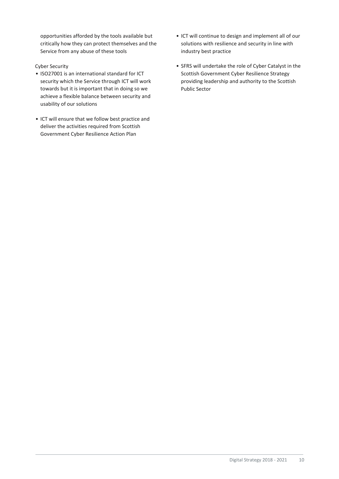opportunities afforded by the tools available but critically how they can protect themselves and the Service from any abuse of these tools

# Cyber Security

- ISO27001 is an international standard for ICT security which the Service through ICT will work towards but it is important that in doing so we achieve a flexible balance between security and usability of our solutions
- ICT will ensure that we follow best practice and deliver the activities required from Scottish Government Cyber Resilience Action Plan
- ICT will continue to design and implement all of our solutions with resilience and security in line with industry best practice
- SFRS will undertake the role of Cyber Catalyst in the Scottish Government Cyber Resilience Strategy providing leadership and authority to the Scottish Public Sector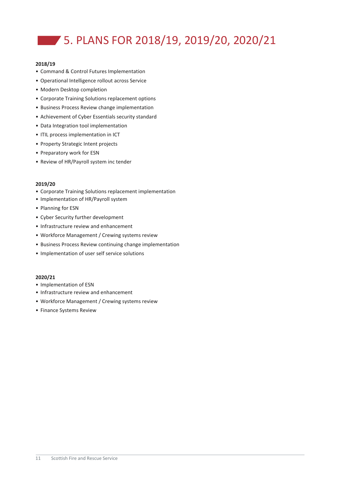# 5. PLANS FOR 2018/19, 2019/20, 2020/21

# **2018/19**

- Command & Control Futures Implementation
- Operational Intelligence rollout across Service
- Modern Desktop completion
- Corporate Training Solutions replacement options
- Business Process Review change implementation
- Achievement of Cyber Essentials security standard
- Data Integration tool implementation
- ITIL process implementation in ICT
- Property Strategic Intent projects
- Preparatory work for ESN
- Review of HR/Payroll system inc tender

# **2019/20**

- Corporate Training Solutions replacement implementation
- Implementation of HR/Payroll system
- Planning for ESN
- Cyber Security further development
- Infrastructure review and enhancement
- Workforce Management / Crewing systems review
- Business Process Review continuing change implementation
- Implementation of user self service solutions

## **2020/21**

- Implementation of ESN
- Infrastructure review and enhancement
- Workforce Management / Crewing systems review
- Finance Systems Review